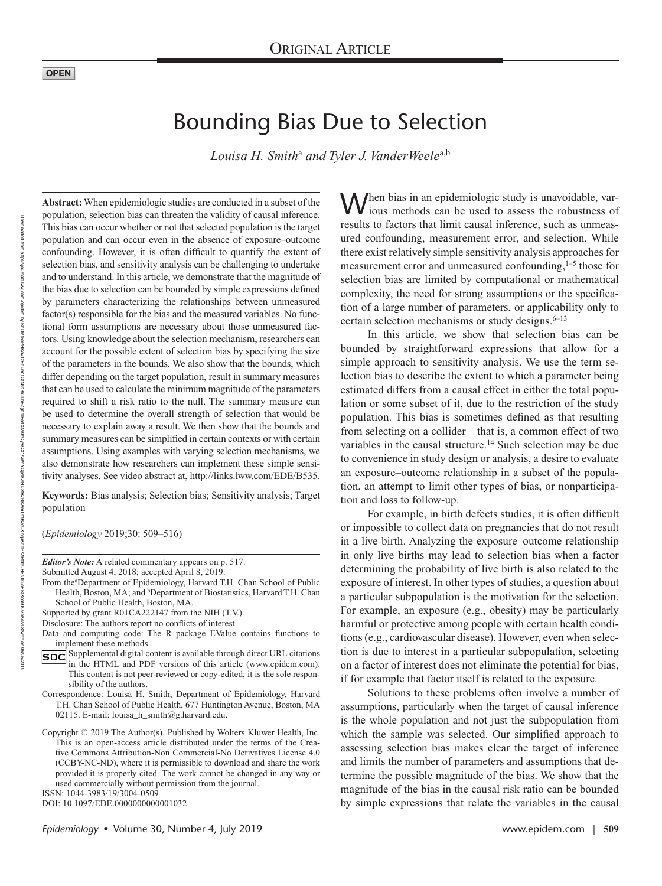# Bounding Bias Due to Selection

*Louisa H. Smith*<sup>a</sup>  *and Tyler J. VanderWeele*a,b

**Abstract:** When epidemiologic studies are conducted in a subset of the population, selection bias can threaten the validity of causal inference. This bias can occur whether or not that selected population is the target population and can occur even in the absence of exposure–outcome confounding. However, it is often difficult to quantify the extent of selection bias, and sensitivity analysis can be challenging to undertake and to understand. In this article, we demonstrate that the magnitude of the bias due to selection can be bounded by simple expressions defined by parameters characterizing the relationships between unmeasured factor(s) responsible for the bias and the measured variables. No functional form assumptions are necessary about those unmeasured factors. Using knowledge about the selection mechanism, researchers can account for the possible extent of selection bias by specifying the size of the parameters in the bounds. We also show that the bounds, which differ depending on the target population, result in summary measures that can be used to calculate the minimum magnitude of the parameters required to shift a risk ratio to the null. The summary measure can be used to determine the overall strength of selection that would be necessary to explain away a result. We then show that the bounds and summary measures can be simplified in certain contexts or with certain assumptions. Using examples with varying selection mechanisms, we also demonstrate how researchers can implement these simple sensitivity analyses. See video abstract at, [http://links.lww.com/EDE/B535.](http://links.lww.com/EDE/B535)

**Keywords:** Bias analysis; Selection bias; Sensitivity analysis; Target population

(*Epidemiology* 2019;30: 509–516)

*Editor's Note:* A related commentary appears on p. 517.

- Submitted August 4, 2018; accepted April 8, 2019.
- From the<sup>a</sup>Department of Epidemiology, Harvard T.H. Chan School of Public Health, Boston, MA; and <sup>b</sup>Department of Biostatistics, Harvard T.H. Chan School of Public Health, Boston, MA.

Supported by grant R01CA222147 from the NIH (T.V.).

- Disclosure: The authors report no conflicts of interest.
- Data and computing code: The R package EValue contains functions to implement these methods.
- Supplemental digital content is available through direct URL citations in the HTML and PDF versions of this article [\(www.epidem.com](www.epidem.com)). This content is not peer-reviewed or copy-edited; it is the sole responsibility of the authors.
- Correspondence: Louisa H. Smith, Department of Epidemiology, Harvard T.H. Chan School of Public Health, 677 Huntington Avenue, Boston, MA 02115. E-mail: [louisa\\_h\\_smith@g.harvard.edu.](mailto:louisa_h_smith@g.harvard.edu)
- Copyright © 2019 The Author(s). Published by Wolters Kluwer Health, Inc. This is an open-access article distributed under the terms of the [Crea](http://creativecommons.org/licenses/by-nc-nd/4.0/)[tive Commons Attribution-Non Commercial-No Derivatives License 4.0](http://creativecommons.org/licenses/by-nc-nd/4.0/)  [\(CCBY-NC-ND\),](http://creativecommons.org/licenses/by-nc-nd/4.0/) where it is permissible to download and share the work provided it is properly cited. The work cannot be changed in any way or used commercially without permission from the journal.

ISSN: 1044-3983/19/3004-0509

DOI: 10.1097/EDE.0000000000001032

When bias in an epidemiologic study is unavoidable, various methods can be used to assess the robustness of results to factors that limit causal inference, such as unmeasured confounding, measurement error, and selection. While there exist relatively simple sensitivity analysis approaches for measurement error and unmeasured confounding,<sup>1–5</sup> those for selection bias are limited by computational or mathematical complexity, the need for strong assumptions or the specification of a large number of parameters, or applicability only to certain selection mechanisms or study designs. $6-13$ 

In this article, we show that selection bias can be bounded by straightforward expressions that allow for a simple approach to sensitivity analysis. We use the term selection bias to describe the extent to which a parameter being estimated differs from a causal effect in either the total population or some subset of it, due to the restriction of the study population. This bias is sometimes defined as that resulting from selecting on a collider—that is, a common effect of two variables in the causal structure.<sup>14</sup> Such selection may be due to convenience in study design or analysis, a desire to evaluate an exposure–outcome relationship in a subset of the population, an attempt to limit other types of bias, or nonparticipation and loss to follow-up.

For example, in birth defects studies, it is often difficult or impossible to collect data on pregnancies that do not result in a live birth. Analyzing the exposure–outcome relationship in only live births may lead to selection bias when a factor determining the probability of live birth is also related to the exposure of interest. In other types of studies, a question about a particular subpopulation is the motivation for the selection. For example, an exposure (e.g., obesity) may be particularly harmful or protective among people with certain health conditions (e.g., cardiovascular disease). However, even when selection is due to interest in a particular subpopulation, selecting on a factor of interest does not eliminate the potential for bias, if for example that factor itself is related to the exposure.

Solutions to these problems often involve a number of assumptions, particularly when the target of causal inference is the whole population and not just the subpopulation from which the sample was selected. Our simplified approach to assessing selection bias makes clear the target of inference and limits the number of parameters and assumptions that determine the possible magnitude of the bias. We show that the magnitude of the bias in the causal risk ratio can be bounded by simple expressions that relate the variables in the causal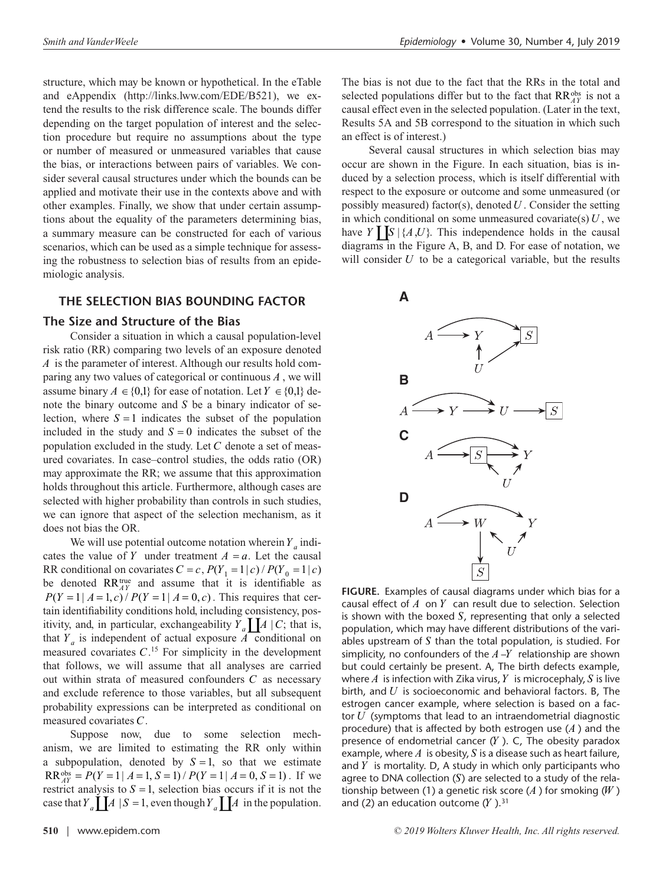structure, which may be known or hypothetical. In the eTable and eAppendix (<http://links.lww.com/EDE/B521>), we extend the results to the risk difference scale. The bounds differ depending on the target population of interest and the selection procedure but require no assumptions about the type or number of measured or unmeasured variables that cause the bias, or interactions between pairs of variables. We consider several causal structures under which the bounds can be applied and motivate their use in the contexts above and with other examples. Finally, we show that under certain assumptions about the equality of the parameters determining bias, a summary measure can be constructed for each of various scenarios, which can be used as a simple technique for assessing the robustness to selection bias of results from an epidemiologic analysis.

# **THE SELECTION BIAS BOUNDING FACTOR**

#### **The Size and Structure of the Bias**

Consider a situation in which a causal population-level risk ratio (RR) comparing two levels of an exposure denoted *A* is the parameter of interest. Although our results hold comparing any two values of categorical or continuous *A* , we will assume binary  $A \in \{0,1\}$  for ease of notation. Let  $Y \in \{0,1\}$  denote the binary outcome and *S* be a binary indicator of selection, where  $S = 1$  indicates the subset of the population included in the study and  $S = 0$  indicates the subset of the population excluded in the study. Let *C* denote a set of measured covariates. In case–control studies, the odds ratio (OR) may approximate the RR; we assume that this approximation holds throughout this article. Furthermore, although cases are selected with higher probability than controls in such studies, we can ignore that aspect of the selection mechanism, as it does not bias the OR.

We will use potential outcome notation wherein  $Y_a$  indicates the value of *Y* under treatment  $A = a$ . Let the causal RR conditional on covariates  $C = c$ ,  $P(Y_1 = 1 | c) / P(Y_0 = 1 | c)$ be denoted  $RR_{AY}^{\text{true}}$  and assume that it is identifiable as  $P(Y = 1 | A = 1, c) / P(Y = 1 | A = 0, c)$ . This requires that certain identifiability conditions hold, including consistency, positivity, and, in particular, exchangeability  $Y_a$   $A \mid C$ ; that is, that  $Y_a$  is independent of actual exposure  $\overline{A}$  conditional on measured covariates  $C<sup>15</sup>$  For simplicity in the development that follows, we will assume that all analyses are carried out within strata of measured confounders *C* as necessary and exclude reference to those variables, but all subsequent probability expressions can be interpreted as conditional on measured covariates *C*.

Suppose now, due to some selection mechanism, we are limited to estimating the RR only within a subpopulation, denoted by  $S = 1$ , so that we estimate  $RR_{AY}^{\text{obs}} = P(Y = 1 | A = 1, S = 1) / P(Y = 1 | A = 0, S = 1)$ . If we restrict analysis to  $S = 1$ , selection bias occurs if it is not the case that  $Y_a$   $\prod A \mid S = 1$ , even though  $Y_a$   $\prod A$  in the population.

The bias is not due to the fact that the RRs in the total and selected populations differ but to the fact that RR<sup>obs</sup> is not a causal effect even in the selected population. (Later in the text, Results 5A and 5B correspond to the situation in which such an effect is of interest.)

Several causal structures in which selection bias may occur are shown in the Figure. In each situation, bias is induced by a selection process, which is itself differential with respect to the exposure or outcome and some unmeasured (or possibly measured) factor(s), denoted *U* . Consider the setting in which conditional on some unmeasured covariate(s) *U* , we have  $Y \parallel S \parallel \{A, U\}$ . This independence holds in the causal diagrams in the Figure A, B, and D. For ease of notation, we will consider *U* to be a categorical variable, but the results



**FIGURE.** Examples of causal diagrams under which bias for a causal effect of *A* on *Y* can result due to selection. Selection is shown with the boxed *S*, representing that only a selected population, which may have different distributions of the variables upstream of *S* than the total population, is studied. For simplicity, no confounders of the *A* –*Y* relationship are shown but could certainly be present. A, The birth defects example, where *A* is infection with Zika virus, *Y* is microcephaly, *S* is live birth, and *U* is socioeconomic and behavioral factors. B, The estrogen cancer example, where selection is based on a factor *U* (symptoms that lead to an intraendometrial diagnostic procedure) that is affected by both estrogen use (*A* ) and the presence of endometrial cancer (*Y* ). C, The obesity paradox example, where *A* is obesity, *S* is a disease such as heart failure, and *Y* is mortality. D, A study in which only participants who agree to DNA collection (*S*) are selected to a study of the relationship between (1) a genetic risk score (*A* ) for smoking (*W* ) and (2) an education outcome  $(Y)$ .<sup>31</sup>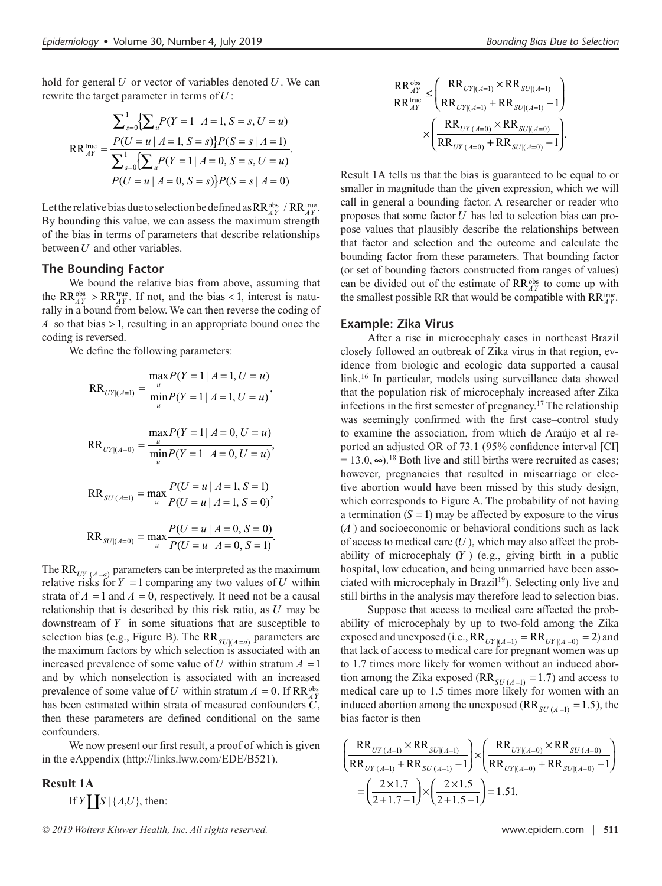hold for general *U* or vector of variables denoted *U* . We can rewrite the target parameter in terms of *U* :

$$
\sum_{s=0}^{1} \{ \sum_{u} P(Y=1 | A=1, S=s, U=u) \}
$$
\n
$$
RR_{AY}^{true} = \frac{P(U=u | A=1, S=s) \} P(S=s | A=1)}{\sum_{s=0}^{1} \{ \sum_{u} P(Y=1 | A=0, S=s, U=u) \}}
$$
\n
$$
P(U=u | A=0, S=s) \} P(S=s | A=0)
$$

Let the relative bias due to selection be defined as  $RR_{AY}^{obs}$  /  $RR_{AY}^{true}$ . By bounding this value, we can assess the maximum strength of the bias in terms of parameters that describe relationships between *U* and other variables.

#### **The Bounding Factor**

We bound the relative bias from above, assuming that the RR<sup>obs</sup> > RR<sup>true</sup>. If not, and the bias < 1, interest is naturally in a bound from below. We can then reverse the coding of *A* so that bias > 1, resulting in an appropriate bound once the coding is reversed.

We define the following parameters:

$$
RR_{UV[(A=1)]} = \frac{\max_{u} P(Y=1 | A=1, U=u)}{\min_{u} P(Y=1 | A=1, U=u)},
$$
  

$$
RR_{UV[(A=0)]} = \frac{\max_{u} P(Y=1 | A=0, U=u)}{\min_{u} P(Y=1 | A=0, U=u)},
$$
  

$$
RR_{SU[(A=1)]} = \max_{u} \frac{P(U=u | A=1, S=1)}{P(U=u | A=1, S=0)},
$$

$$
RR_{SU|(A=0)} = \max_{u} \frac{P(U = u | A = 0, S = 0)}{P(U = u | A = 0, S = 1)}.
$$

The RR $_{UV|(A=a)}$  parameters can be interpreted as the maximum relative risks for  $Y = 1$  comparing any two values of  $U$  within strata of  $A = 1$  and  $A = 0$ , respectively. It need not be a causal relationship that is described by this risk ratio, as *U* may be downstream of *Y* in some situations that are susceptible to selection bias (e.g., Figure B). The  $RR_{SU|(A=a)}$  parameters are the maximum factors by which selection is associated with an increased prevalence of some value of *U* within stratum  $A = 1$ and by which nonselection is associated with an increased prevalence of some value of *U* within stratum  $A = 0$ . If  $RR_{AY}^{obs}$ has been estimated within strata of measured confounders *C*, then these parameters are defined conditional on the same confounders.

We now present our first result, a proof of which is given in the eAppendix ([http://links.lww.com/EDE/B521\)](http://links.lww.com/EDE/B521).

# **Result 1A** If *Y*  $\left[ S \middle| \{A, U\}, \text{ then:} \right]$

$$
\frac{RR_{AY}^{obs}}{RR_{AY}^{true}} \leq \left(\frac{RR_{UY|(A=1)} \times RR_{SU|(A=1)}}{RR_{UY|(A=1)} + RR_{SU|(A=1)} - 1}\right) \times \left(\frac{RR_{UY|(A=0)} \times RR_{SU|(A=0)}}{RR_{UY|(A=0)} + RR_{SU|(A=0)} - 1}\right).
$$

Result 1A tells us that the bias is guaranteed to be equal to or smaller in magnitude than the given expression, which we will call in general a bounding factor. A researcher or reader who proposes that some factor *U* has led to selection bias can propose values that plausibly describe the relationships between that factor and selection and the outcome and calculate the bounding factor from these parameters. That bounding factor (or set of bounding factors constructed from ranges of values) can be divided out of the estimate of RR<sup>obs</sup> to come up with the smallest possible RR that would be compatible with  $RR_{AY}^{true}$ .

#### **Example: Zika Virus**

After a rise in microcephaly cases in northeast Brazil closely followed an outbreak of Zika virus in that region, evidence from biologic and ecologic data supported a causal link.16 In particular, models using surveillance data showed that the population risk of microcephaly increased after Zika infections in the first semester of pregnancy.17 The relationship was seemingly confirmed with the first case–control study to examine the association, from which de Araújo et al reported an adjusted OR of 73.1 (95% confidence interval [CI]  $= 13.0, \infty$ ).<sup>18</sup> Both live and still births were recruited as cases; however, pregnancies that resulted in miscarriage or elective abortion would have been missed by this study design, which corresponds to Figure A. The probability of not having a termination  $(S = 1)$  may be affected by exposure to the virus (*A* ) and socioeconomic or behavioral conditions such as lack of access to medical care (*U* ), which may also affect the probability of microcephaly (*Y* ) (e.g., giving birth in a public hospital, low education, and being unmarried have been associated with microcephaly in Brazil<sup>19</sup>). Selecting only live and still births in the analysis may therefore lead to selection bias.

Suppose that access to medical care affected the probability of microcephaly by up to two-fold among the Zika exposed and unexposed (i.e.,  $RR_{UY|(A=1)} = RR_{UY|(A=0)} = 2$ ) and that lack of access to medical care for pregnant women was up to 1.7 times more likely for women without an induced abortion among the Zika exposed ( $RR_{SU|(A=1)} = 1.7$ ) and access to medical care up to 1.5 times more likely for women with an induced abortion among the unexposed  $(RR_{SU|(A=1)} = 1.5)$ , the bias factor is then

$$
\left(\frac{RR_{UY|(A=1)} \times RR_{SU|(A=1)}}{RR_{UY|(A=1)} + RR_{SU|(A=1)} - 1}\right) \times \left(\frac{RR_{UY|(A=0)} \times RR_{SU|(A=0)}}{RR_{UY|(A=0)} + RR_{SU|(A=0)} - 1}\right)
$$

$$
= \left(\frac{2 \times 1.7}{2 + 1.7 - 1}\right) \times \left(\frac{2 \times 1.5}{2 + 1.5 - 1}\right) = 1.51.
$$

*<sup>© 2019</sup> Wolters Kluwer Health, Inc. All rights reserved.* www.epidem.com | **511**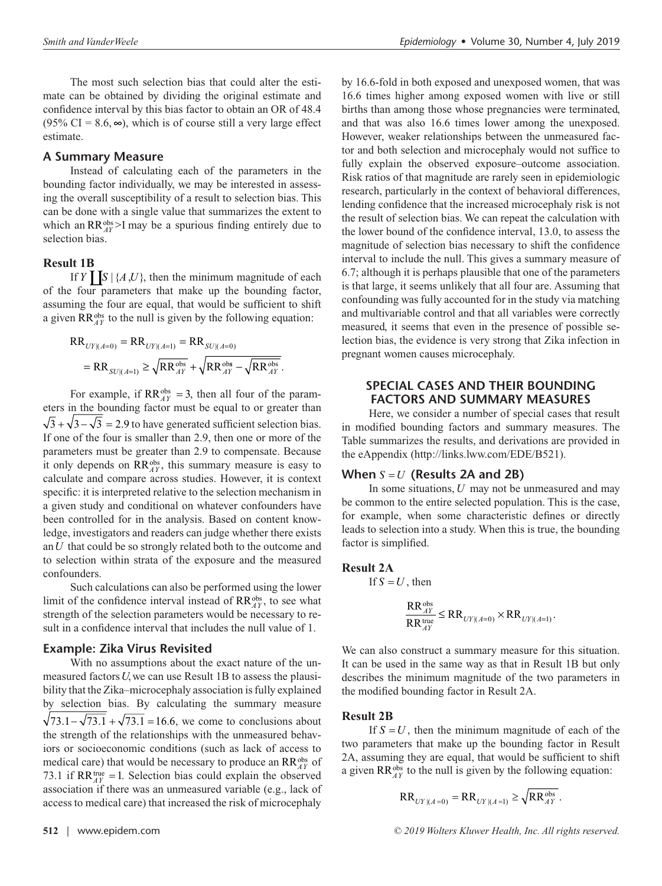The most such selection bias that could alter the estimate can be obtained by dividing the original estimate and confidence interval by this bias factor to obtain an OR of 48.4  $(95\% \text{ CI} = 8.6, \infty)$ , which is of course still a very large effect estimate.

# **A Summary Measure**

Instead of calculating each of the parameters in the bounding factor individually, we may be interested in assessing the overall susceptibility of a result to selection bias. This can be done with a single value that summarizes the extent to which an  $RR_{AY}^{obs}$  >1 may be a spurious finding entirely due to selection bias.

# **Result 1B**

If *Y* **S**  $\{A, U\}$ , then the minimum magnitude of each of the four parameters that make up the bounding factor, assuming the four are equal, that would be sufficient to shift a given  $RR_{AY}^{obs}$  to the null is given by the following equation:

$$
RR_{UV|(A=0)} = RR_{UV|(A=1)} = RR_{SU|(A=0)}
$$
  
= RR<sub>SU|(A=1)</sub>  $\geq \sqrt{RR_{AY}^{obs}} + \sqrt{RR_{AY}^{obs} - \sqrt{RR_{AY}^{obs}}}$ .

For example, if  $RR_{AY}^{obs} = 3$ , then all four of the parameters in the bounding factor must be equal to or greater than  $\sqrt{3} + \sqrt{3} - \sqrt{3} = 2.9$  to have generated sufficient selection bias. If one of the four is smaller than 2.9, then one or more of the parameters must be greater than 2.9 to compensate. Because it only depends on RR<sup>obs</sup>, this summary measure is easy to calculate and compare across studies. However, it is context specific: it is interpreted relative to the selection mechanism in a given study and conditional on whatever confounders have been controlled for in the analysis. Based on content knowledge, investigators and readers can judge whether there exists an *U* that could be so strongly related both to the outcome and to selection within strata of the exposure and the measured confounders.

Such calculations can also be performed using the lower limit of the confidence interval instead of RR<sup>obs</sup>, to see what strength of the selection parameters would be necessary to result in a confidence interval that includes the null value of 1.

# **Example: Zika Virus Revisited**

With no assumptions about the exact nature of the unmeasured factors *U*, we can use Result 1B to assess the plausibility that the Zika–microcephaly association is fully explained by selection bias. By calculating the summary measure  $\sqrt{73.1} - \sqrt{73.1} + \sqrt{73.1} = 16.6$ , we come to conclusions about the strength of the relationships with the unmeasured behaviors or socioeconomic conditions (such as lack of access to medical care) that would be necessary to produce an RR<sup>obs</sup> of 73.1 if  $RR_{AY}^{true} = 1$ . Selection bias could explain the observed association if there was an unmeasured variable (e.g., lack of access to medical care) that increased the risk of microcephaly

births than among those whose pregnancies were terminated, and that was also 16.6 times lower among the unexposed. However, weaker relationships between the unmeasured factor and both selection and microcephaly would not suffice to fully explain the observed exposure–outcome association. Risk ratios of that magnitude are rarely seen in epidemiologic research, particularly in the context of behavioral differences, lending confidence that the increased microcephaly risk is not the result of selection bias. We can repeat the calculation with the lower bound of the confidence interval, 13.0, to assess the magnitude of selection bias necessary to shift the confidence interval to include the null. This gives a summary measure of 6.7; although it is perhaps plausible that one of the parameters is that large, it seems unlikely that all four are. Assuming that confounding was fully accounted for in the study via matching and multivariable control and that all variables were correctly measured, it seems that even in the presence of possible selection bias, the evidence is very strong that Zika infection in pregnant women causes microcephaly.

by 16.6-fold in both exposed and unexposed women, that was 16.6 times higher among exposed women with live or still

# **SPECIAL CASES AND THEIR BOUNDING FACTORS AND SUMMARY MEASURES**

Here, we consider a number of special cases that result in modified bounding factors and summary measures. The Table summarizes the results, and derivations are provided in the eAppendix [\(http://links.lww.com/EDE/B521\)](http://links.lww.com/EDE/B521).

#### **When** *S* =*U* **(Results 2A and 2B)**

In some situations, *U* may not be unmeasured and may be common to the entire selected population. This is the case, for example, when some characteristic defines or directly leads to selection into a study. When this is true, the bounding factor is simplified.

# **Result 2A**

If 
$$
S = U
$$
, then

$$
\frac{RR_{\varDelta Y}^{\text{obs}}}{RR_{\varDelta Y}^{\text{true}}} \leq RR_{\text{UY}|(\textit{A}=0)} \times RR_{\text{UY}|(\textit{A}=1)}.
$$

We can also construct a summary measure for this situation. It can be used in the same way as that in Result 1B but only describes the minimum magnitude of the two parameters in the modified bounding factor in Result 2A.

#### **Result 2B**

If  $S = U$ , then the minimum magnitude of each of the two parameters that make up the bounding factor in Result 2A, assuming they are equal, that would be sufficient to shift a given  $RR_{AY}^{obs}$  to the null is given by the following equation:

$$
RR_{UY|(A=0)} = RR_{UY|(A=1)} \ge \sqrt{RR_{AY}^{obs}}.
$$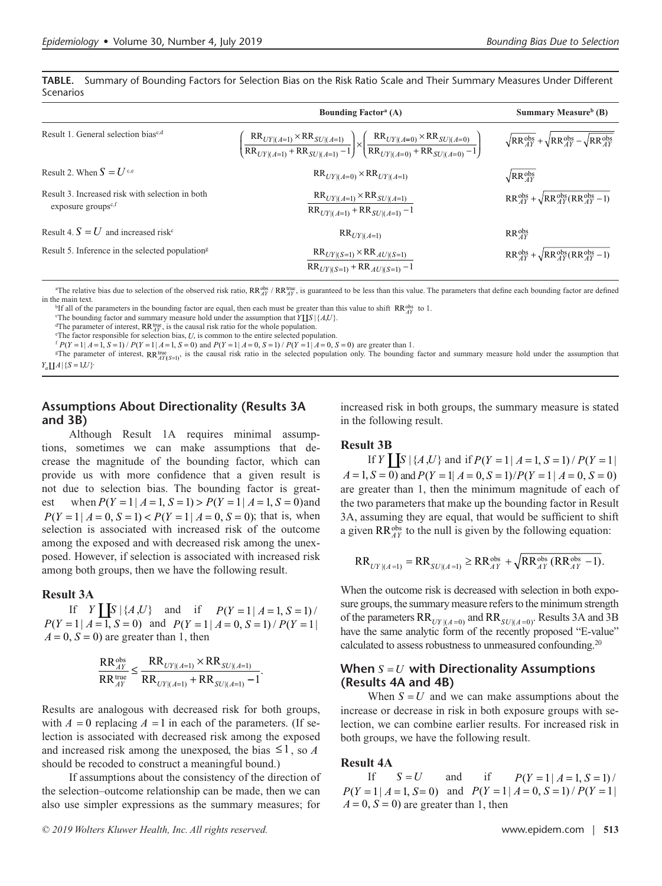**TABLE.** Summary of Bounding Factors for Selection Bias on the Risk Ratio Scale and Their Summary Measures Under Different Scenarios

|                                                                                   | <b>Bounding Factor</b> <sup>a</sup> (A)                                                                                                                                                      | <b>Summary Measure</b> <sup>b</sup> (B)                              |
|-----------------------------------------------------------------------------------|----------------------------------------------------------------------------------------------------------------------------------------------------------------------------------------------|----------------------------------------------------------------------|
| Result 1. General selection bias <sup>c,d</sup>                                   | $\left(\frac{RR_{UY (A=1)} \times RR_{SU (A=1)}}{RR_{UY (A=1)} + RR_{SU (A=1)} - 1}\right) \times \left(\frac{RR_{UY (A=0)} \times RR_{SU (A=0)}}{RR_{UY (A=0)} + RR_{SU (A=0)} - 1}\right)$ | $\sqrt{RR^{obs}_{4Y} + \sqrt{RR^{obs}_{4Y}} - \sqrt{RR^{obs}_{4Y}}}$ |
| Result 2. When $S = U^{c,e}$                                                      | $RR_{UY (A=0)} \times RR_{UY (A=1)}$                                                                                                                                                         | $\sqrt{RR_{AY}^{obs}}$                                               |
| Result 3. Increased risk with selection in both<br>exposure groups <sup>c,f</sup> | $RR_{UY (A=1)} \times RR_{SU (A=1)}$<br>$RR_{UY (A=1)}$ + $RR_{SU (A=1)}$ - 1                                                                                                                | $RR_{AY}^{obs} + \sqrt{RR_{AY}^{obs}(RR_{AY}^{obs} - 1)}$            |
| Result 4. $S = U$ and increased risk <sup>c</sup>                                 | $RR_{UY (A=1)}$                                                                                                                                                                              | $RR_{AY}^{obs}$                                                      |
| Result 5. Inference in the selected population <sup>g</sup>                       | $RR_{UY (S=1)} \times RR_{AU (S=1)}$<br>$RR_{UY (S=1)}$ + $RR_{AU (S=1)}$ - 1                                                                                                                | $RR_{4Y}^{obs} + \sqrt{RR_{4Y}^{obs}(RR_{4Y}^{obs} - 1)}$            |

<sup>a</sup>The relative bias due to selection of the observed risk ratio, RR $_{AT}^{b}$  / RR $_{AT}^{b}$ , is guaranteed to be less than this value. The parameters that define each bounding factor are defined in the main text.

<sup>b</sup>If all of the parameters in the bounding factor are equal, then each must be greater than this value to shift  $\mathbb{R}R_{AY}^{\text{obs}}$  to 1.  $\mathbb{R}R_{AY}^{\text{obs}}$  to 1.

<sup>c</sup>The bounding factor and summary measure hold under the assumption that  $Y\coprod S\ | \ \{A,U\}.$ 

<sup>d</sup>The parameter of interest,  $\mathbb{R}R_{\text{TV}}^{\text{true}}$ , is the causal risk ratio for the whole population.<br>
<sup>e</sup>The factor responsible for selection bias *II* is common to the entire selected nonu

<sup>e</sup>The factor responsible for selection bias, *U*, is common to the entire selected population.

 $f P(Y=1 | A=1, S=1) / P(Y=1 | A=1, S=0)$  and  $P(Y=1 | A=0, S=1) / P(Y=1 | A=0, S=0)$  are greater than 1.

<sup>g</sup>The parameter of interest,  $RR_{AY(S=1)}^{true}$ , is the causal risk ratio in the selected population only. The bounding factor and summary measure hold under the assumption that  $Y_a \coprod A \mid \{S=1, U\}$ .

# **Assumptions About Directionality (Results 3A and 3B)**

Although Result 1A requires minimal assumptions, sometimes we can make assumptions that decrease the magnitude of the bounding factor, which can provide us with more confidence that a given result is not due to selection bias. The bounding factor is greatest when  $P(Y = 1 | A = 1, S = 1) > P(Y = 1 | A = 1, S = 0)$  and  $P(Y = 1 | A = 0, S = 1) < P(Y = 1 | A = 0, S = 0)$ ; that is, when selection is associated with increased risk of the outcome among the exposed and with decreased risk among the unexposed. However, if selection is associated with increased risk among both groups, then we have the following result.

#### **Result 3A**

If *Y*  $S \{A, U\}$  and if  $P(Y = 1 | A = 1, S = 1)$  $P(Y = 1 | A = 1, S = 0)$  and  $P(Y = 1 | A = 0, S = 1) / P(Y = 1)$  $A = 0$ ,  $S = 0$ ) are greater than 1, then

$$
\frac{RR_{AY}^{obs}}{RR_{uy}^{true}} \leq \frac{RR_{UY|(A=1)} \times RR_{SU|(A=1)}}{RR_{UY|(A=1)} + RR_{SU|(A=1)} - 1}.
$$

Results are analogous with decreased risk for both groups, with  $A = 0$  replacing  $A = 1$  in each of the parameters. (If selection is associated with decreased risk among the exposed and increased risk among the unexposed, the bias  $\leq 1$ , so *A* should be recoded to construct a meaningful bound.)

If assumptions about the consistency of the direction of the selection–outcome relationship can be made, then we can also use simpler expressions as the summary measures; for

increased risk in both groups, the summary measure is stated in the following result.

# **Result 3B**

If *Y* **S**  $\left[\int S | \{A, U\} \}$  and if  $P(Y = 1 | A = 1, S = 1) / P(Y = 1)$  $A = 1, S = 0$  and  $P(Y = 1 | A = 0, S = 1) / P(Y = 1 | A = 0, S = 0)$ are greater than 1, then the minimum magnitude of each of the two parameters that make up the bounding factor in Result 3A, assuming they are equal, that would be sufficient to shift a given  $RR_{AY}^{obs}$  to the null is given by the following equation:

$$
RR_{UY|(A=1)} = RR_{SU|(A=1)} \ge RR_{AY}^{obs} + \sqrt{RR_{AY}^{obs}(RR_{AY}^{obs} - 1)}.
$$

When the outcome risk is decreased with selection in both exposure groups, the summary measure refers to the minimum strength of the parameters  $RR_{UV|(A=0)}$  and  $RR_{SU|(A=0)}$ . Results 3A and 3B have the same analytic form of the recently proposed "E-value" calculated to assess robustness to unmeasured confounding.<sup>20</sup>

# **When** *S* =*U* **with Directionality Assumptions (Results 4A and 4B)**

When  $S = U$  and we can make assumptions about the increase or decrease in risk in both exposure groups with selection, we can combine earlier results. For increased risk in both groups, we have the following result.

# **Result 4A**

If  $S = U$  and if  $P(Y = 1 | A = 1, S = 1) /$  $P(Y = 1 | A = 1, S = 0)$  and  $P(Y = 1 | A = 0, S = 1) / P(Y = 1)$  $A = 0$ ,  $S = 0$ ) are greater than 1, then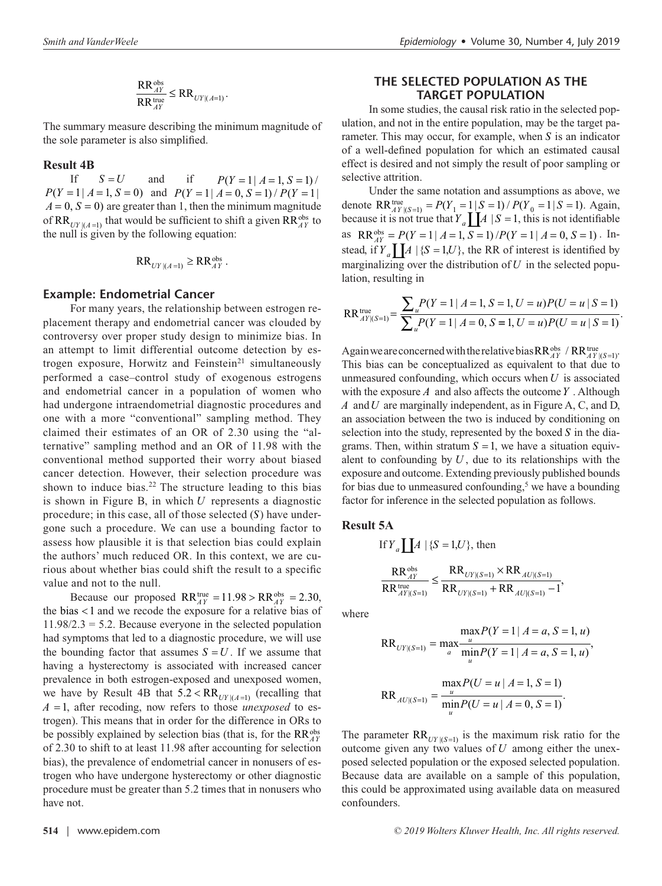$$
\frac{\text{RR}_{AY}^{\text{obs}}}{\text{RR}_{AY}^{\text{true}}} \leq \text{RR}_{\text{UY} | (\text{A}=1)}.
$$

The summary measure describing the minimum magnitude of the sole parameter is also simplified.

#### **Result 4B**

If  $S = U$  and if  $P(Y = 1 | A = 1, S = 1) /$  $P(Y = 1 | A = 1, S = 0)$  and  $P(Y = 1 | A = 0, S = 1) / P(Y = 1)$  $A = 0$ ,  $S = 0$ ) are greater than 1, then the minimum magnitude of  $RR_{UV| (A=1)}$  that would be sufficient to shift a given  $RR_{AY}^{obs}$  to the null is given by the following equation:

$$
RR_{UY|(A=1)} \geq RR_{AY}^{obs}.
$$

# **Example: Endometrial Cancer**

For many years, the relationship between estrogen replacement therapy and endometrial cancer was clouded by controversy over proper study design to minimize bias. In an attempt to limit differential outcome detection by estrogen exposure, Horwitz and Feinstein<sup>21</sup> simultaneously performed a case–control study of exogenous estrogens and endometrial cancer in a population of women who had undergone intraendometrial diagnostic procedures and one with a more "conventional" sampling method. They claimed their estimates of an OR of 2.30 using the "alternative" sampling method and an OR of 11.98 with the conventional method supported their worry about biased cancer detection. However, their selection procedure was shown to induce bias.<sup>22</sup> The structure leading to this bias is shown in Figure B, in which *U* represents a diagnostic procedure; in this case, all of those selected (*S*) have undergone such a procedure. We can use a bounding factor to assess how plausible it is that selection bias could explain the authors' much reduced OR. In this context, we are curious about whether bias could shift the result to a specific value and not to the null.

Because our proposed  $RR_{AY}^{\text{true}} = 11.98 > RR_{AY}^{\text{obs}} = 2.30$ , the bias < 1 and we recode the exposure for a relative bias of  $11.98/2.3 = 5.2$ . Because everyone in the selected population had symptoms that led to a diagnostic procedure, we will use the bounding factor that assumes  $S = U$ . If we assume that having a hysterectomy is associated with increased cancer prevalence in both estrogen-exposed and unexposed women, we have by Result 4B that  $5.2 < RR$ <sub>*UY*  $|A=1$ </sub> (recalling that *A* = 1, after recoding, now refers to those *unexposed* to estrogen). This means that in order for the difference in ORs to be possibly explained by selection bias (that is, for the RR<sup>obs</sup><sub>AY</sub> of 2.30 to shift to at least 11.98 after accounting for selection bias), the prevalence of endometrial cancer in nonusers of estrogen who have undergone hysterectomy or other diagnostic procedure must be greater than 5.2 times that in nonusers who have not.

# **THE SELECTED POPULATION AS THE TARGET POPULATION**

In some studies, the causal risk ratio in the selected population, and not in the entire population, may be the target parameter. This may occur, for example, when *S* is an indicator of a well-defined population for which an estimated causal effect is desired and not simply the result of poor sampling or selective attrition.

Under the same notation and assumptions as above, we denote  $RR_{AY| (S=1)}^{true} = P(Y_1 = 1 | S = 1) / P(Y_0 = 1 | S = 1)$ . Again, because it is not true that  $Y_a \prod A | S = 1$ , this is not identifiable as  $RR_{AY}^{obs} = P(Y = 1 | A = 1, S = 1) / P(Y = 1 | A = 0, S = 1)$ . Instead, if  $Y_a \prod A \mid \{S = 1, U\}$ , the RR of interest is identified by marginalizing over the distribution of  $U$  in the selected population, resulting in

$$
RR_{AY|(S=1)}^{\text{true}} = \frac{\sum_{u} P(Y=1 | A=1, S=1, U=u) P(U=u | S=1)}{\sum_{u} P(Y=1 | A=0, S=1, U=u) P(U=u | S=1)}.
$$

Again we are concerned with the relative bias  $RR_{AY}^{obs}$  /  $RR_{AY|(S=1)}^{true}$ . This bias can be conceptualized as equivalent to that due to unmeasured confounding, which occurs when *U* is associated with the exposure *A* and also affects the outcome *Y* . Although *A* and *U* are marginally independent, as in Figure A, C, and D, an association between the two is induced by conditioning on selection into the study, represented by the boxed *S* in the diagrams. Then, within stratum  $S = 1$ , we have a situation equivalent to confounding by  $U$ , due to its relationships with the exposure and outcome. Extending previously published bounds for bias due to unmeasured confounding,<sup>5</sup> we have a bounding factor for inference in the selected population as follows.

#### **Result 5A**

If 
$$
Y_a \coprod A | \{S = 1, U\}
$$
, then  
\n
$$
\frac{RR_{AY}^{\text{obs}}}{RR_{AY|(S=1)}} \le \frac{RR_{UY|(S=1)} \times RR_{AU|(S=1)}}{RR_{UY|(S=1)} + RR_{AU|(S=1)} - 1}
$$

where

$$
RR_{UV|(S=1)} = \max_{a} \frac{maxP(Y=1 | A=a, S=1, u)}{minP(Y=1 | A=a, S=1, u)},
$$
  

$$
RR_{AU|(S=1)} = \frac{maxP(U=u | A=1, S=1)}{minP(U=u | A=0, S=1)}.
$$

,

The parameter  $RR_{UT|(S=1)}$  is the maximum risk ratio for the outcome given any two values of *U* among either the unexposed selected population or the exposed selected population. Because data are available on a sample of this population, this could be approximated using available data on measured confounders.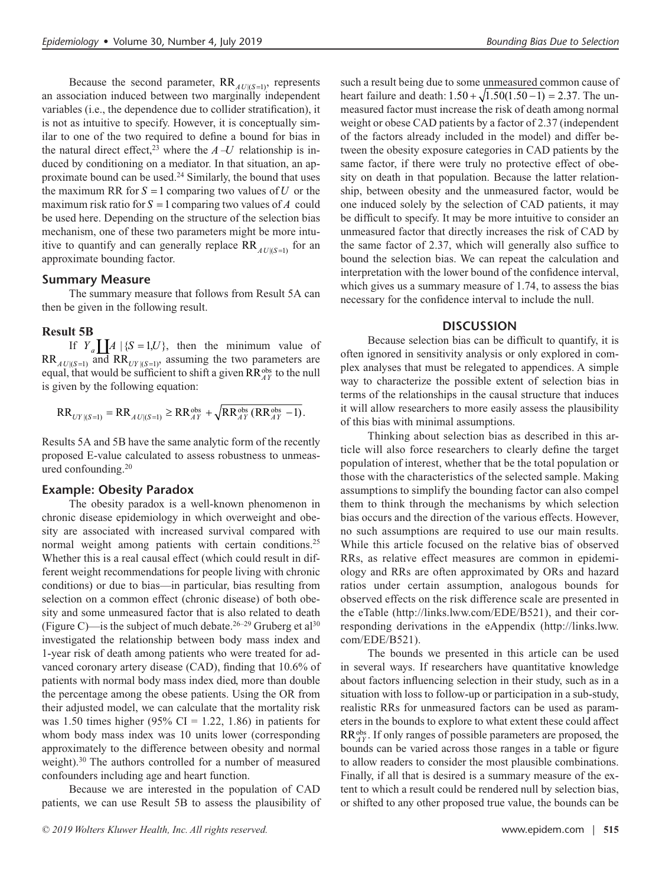Because the second parameter,  $RR$ <sub> $AU|(S=1)$ </sub>, represents

an association induced between two marginally independent variables (i.e., the dependence due to collider stratification), it is not as intuitive to specify. However, it is conceptually similar to one of the two required to define a bound for bias in the natural direct effect,<sup>23</sup> where the  $A-U$  relationship is induced by conditioning on a mediator. In that situation, an approximate bound can be used.<sup>24</sup> Similarly, the bound that uses the maximum RR for  $S = 1$  comparing two values of  $U$  or the maximum risk ratio for  $S = 1$  comparing two values of A could be used here. Depending on the structure of the selection bias mechanism, one of these two parameters might be more intuitive to quantify and can generally replace  $RR$ <sub> $AU|(S=1)$ </sub> for an approximate bounding factor.

#### **Summary Measure**

The summary measure that follows from Result 5A can then be given in the following result.

## **Result 5B**

If  $Y_a$   $\left[ A \right]$  { $S = 1, U$ }, then the minimum value of  $RR_{AU|(S=1)}$  and  $RR_{UY|(S=1)}$ , assuming the two parameters are equal, that would be sufficient to shift a given RR<sup>obs</sup> to the null is given by the following equation:

$$
RR_{UY|(S=1)} = RR_{AU|(S=1)} \ge RR_{AY}^{obs} + \sqrt{RR_{AY}^{obs} (RR_{AY}^{obs} - 1)}.
$$

Results 5A and 5B have the same analytic form of the recently proposed E-value calculated to assess robustness to unmeasured confounding.20

#### **Example: Obesity Paradox**

The obesity paradox is a well-known phenomenon in chronic disease epidemiology in which overweight and obesity are associated with increased survival compared with normal weight among patients with certain conditions.<sup>25</sup> Whether this is a real causal effect (which could result in different weight recommendations for people living with chronic conditions) or due to bias—in particular, bias resulting from selection on a common effect (chronic disease) of both obesity and some unmeasured factor that is also related to death (Figure C)—is the subject of much debate.<sup>26–29</sup> Gruberg et al<sup>30</sup> investigated the relationship between body mass index and 1-year risk of death among patients who were treated for advanced coronary artery disease (CAD), finding that 10.6% of patients with normal body mass index died, more than double the percentage among the obese patients. Using the OR from their adjusted model, we can calculate that the mortality risk was 1.50 times higher (95% CI = 1.22, 1.86) in patients for whom body mass index was 10 units lower (corresponding approximately to the difference between obesity and normal weight).<sup>30</sup> The authors controlled for a number of measured confounders including age and heart function.

Because we are interested in the population of CAD patients, we can use Result 5B to assess the plausibility of such a result being due to some unmeasured common cause of heart failure and death:  $1.50 + \sqrt{1.50(1.50 - 1)} = 2.37$ . The unmeasured factor must increase the risk of death among normal weight or obese CAD patients by a factor of 2.37 (independent of the factors already included in the model) and differ between the obesity exposure categories in CAD patients by the same factor, if there were truly no protective effect of obesity on death in that population. Because the latter relationship, between obesity and the unmeasured factor, would be one induced solely by the selection of CAD patients, it may be difficult to specify. It may be more intuitive to consider an unmeasured factor that directly increases the risk of CAD by the same factor of 2.37, which will generally also suffice to bound the selection bias. We can repeat the calculation and interpretation with the lower bound of the confidence interval, which gives us a summary measure of 1.74, to assess the bias necessary for the confidence interval to include the null.

#### **DISCUSSION**

Because selection bias can be difficult to quantify, it is often ignored in sensitivity analysis or only explored in complex analyses that must be relegated to appendices. A simple way to characterize the possible extent of selection bias in terms of the relationships in the causal structure that induces it will allow researchers to more easily assess the plausibility of this bias with minimal assumptions.

Thinking about selection bias as described in this article will also force researchers to clearly define the target population of interest, whether that be the total population or those with the characteristics of the selected sample. Making assumptions to simplify the bounding factor can also compel them to think through the mechanisms by which selection bias occurs and the direction of the various effects. However, no such assumptions are required to use our main results. While this article focused on the relative bias of observed RRs, as relative effect measures are common in epidemiology and RRs are often approximated by ORs and hazard ratios under certain assumption, analogous bounds for observed effects on the risk difference scale are presented in the eTable [\(http://links.lww.com/EDE/B521](http://links.lww.com/EDE/B521)), and their corresponding derivations in the eAppendix ([http://links.lww.](http://links.lww.com/EDE/B521) [com/EDE/B521](http://links.lww.com/EDE/B521)).

The bounds we presented in this article can be used in several ways. If researchers have quantitative knowledge about factors influencing selection in their study, such as in a situation with loss to follow-up or participation in a sub-study, realistic RRs for unmeasured factors can be used as parameters in the bounds to explore to what extent these could affect RRobs *AY* . If only ranges of possible parameters are proposed, the bounds can be varied across those ranges in a table or figure to allow readers to consider the most plausible combinations. Finally, if all that is desired is a summary measure of the extent to which a result could be rendered null by selection bias, or shifted to any other proposed true value, the bounds can be